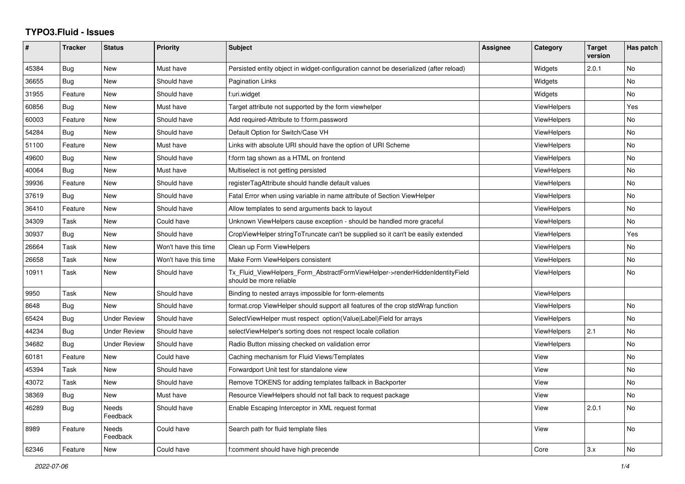## **TYPO3.Fluid - Issues**

| #     | Tracker    | <b>Status</b>            | <b>Priority</b>      | Subject                                                                                                | Assignee | Category           | <b>Target</b><br>version | Has patch |
|-------|------------|--------------------------|----------------------|--------------------------------------------------------------------------------------------------------|----------|--------------------|--------------------------|-----------|
| 45384 | Bug        | New                      | Must have            | Persisted entity object in widget-configuration cannot be deserialized (after reload)                  |          | Widgets            | 2.0.1                    | No        |
| 36655 | Bug        | <b>New</b>               | Should have          | <b>Pagination Links</b>                                                                                |          | Widgets            |                          | <b>No</b> |
| 31955 | Feature    | <b>New</b>               | Should have          | f:uri.widget                                                                                           |          | Widgets            |                          | <b>No</b> |
| 60856 | Bug        | <b>New</b>               | Must have            | Target attribute not supported by the form viewhelper                                                  |          | <b>ViewHelpers</b> |                          | Yes       |
| 60003 | Feature    | New                      | Should have          | Add required-Attribute to f:form.password                                                              |          | <b>ViewHelpers</b> |                          | No        |
| 54284 | Bug        | New                      | Should have          | Default Option for Switch/Case VH                                                                      |          | <b>ViewHelpers</b> |                          | No        |
| 51100 | Feature    | New                      | Must have            | Links with absolute URI should have the option of URI Scheme                                           |          | <b>ViewHelpers</b> |                          | <b>No</b> |
| 49600 | Bug        | New                      | Should have          | f:form tag shown as a HTML on frontend                                                                 |          | <b>ViewHelpers</b> |                          | <b>No</b> |
| 40064 | <b>Bug</b> | <b>New</b>               | Must have            | Multiselect is not getting persisted                                                                   |          | <b>ViewHelpers</b> |                          | <b>No</b> |
| 39936 | Feature    | New                      | Should have          | registerTagAttribute should handle default values                                                      |          | <b>ViewHelpers</b> |                          | No        |
| 37619 | Bug        | <b>New</b>               | Should have          | Fatal Error when using variable in name attribute of Section ViewHelper                                |          | <b>ViewHelpers</b> |                          | <b>No</b> |
| 36410 | Feature    | <b>New</b>               | Should have          | Allow templates to send arguments back to layout                                                       |          | <b>ViewHelpers</b> |                          | <b>No</b> |
| 34309 | Task       | New                      | Could have           | Unknown ViewHelpers cause exception - should be handled more graceful                                  |          | ViewHelpers        |                          | No        |
| 30937 | Bug        | New                      | Should have          | CropViewHelper stringToTruncate can't be supplied so it can't be easily extended                       |          | ViewHelpers        |                          | Yes       |
| 26664 | Task       | <b>New</b>               | Won't have this time | Clean up Form ViewHelpers                                                                              |          | ViewHelpers        |                          | No        |
| 26658 | Task       | <b>New</b>               | Won't have this time | Make Form ViewHelpers consistent                                                                       |          | ViewHelpers        |                          | <b>No</b> |
| 10911 | Task       | New                      | Should have          | Tx Fluid ViewHelpers Form AbstractFormViewHelper->renderHiddenIdentityField<br>should be more reliable |          | ViewHelpers        |                          | No        |
| 9950  | Task       | New                      | Should have          | Binding to nested arrays impossible for form-elements                                                  |          | ViewHelpers        |                          |           |
| 8648  | Bug        | New                      | Should have          | format.crop ViewHelper should support all features of the crop stdWrap function                        |          | ViewHelpers        |                          | No        |
| 65424 | Bug        | <b>Under Review</b>      | Should have          | SelectViewHelper must respect option(Value Label)Field for arrays                                      |          | <b>ViewHelpers</b> |                          | <b>No</b> |
| 44234 | Bug        | <b>Under Review</b>      | Should have          | selectViewHelper's sorting does not respect locale collation                                           |          | ViewHelpers        | 2.1                      | <b>No</b> |
| 34682 | Bug        | <b>Under Review</b>      | Should have          | Radio Button missing checked on validation error                                                       |          | <b>ViewHelpers</b> |                          | <b>No</b> |
| 60181 | Feature    | <b>New</b>               | Could have           | Caching mechanism for Fluid Views/Templates                                                            |          | View               |                          | No        |
| 45394 | Task       | <b>New</b>               | Should have          | Forwardport Unit test for standalone view                                                              |          | View               |                          | No        |
| 43072 | Task       | New                      | Should have          | Remove TOKENS for adding templates fallback in Backporter                                              |          | View               |                          | <b>No</b> |
| 38369 | Bug        | New                      | Must have            | Resource ViewHelpers should not fall back to request package                                           |          | View               |                          | No        |
| 46289 | Bug        | <b>Needs</b><br>Feedback | Should have          | Enable Escaping Interceptor in XML request format                                                      |          | View               | 2.0.1                    | <b>No</b> |
| 8989  | Feature    | <b>Needs</b><br>Feedback | Could have           | Search path for fluid template files                                                                   |          | View               |                          | <b>No</b> |
| 62346 | Feature    | <b>New</b>               | Could have           | f:comment should have high precende                                                                    |          | Core               | 3.x                      | <b>No</b> |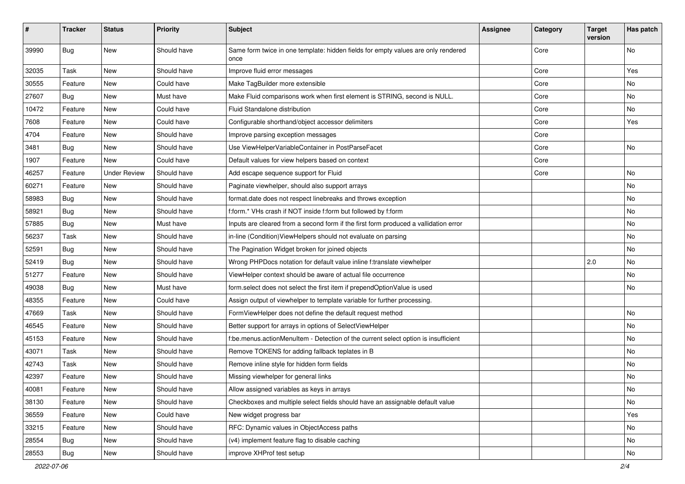| $\sharp$ | <b>Tracker</b> | <b>Status</b>       | <b>Priority</b> | Subject                                                                                   | <b>Assignee</b> | Category | <b>Target</b><br>version | Has patch |
|----------|----------------|---------------------|-----------------|-------------------------------------------------------------------------------------------|-----------------|----------|--------------------------|-----------|
| 39990    | Bug            | New                 | Should have     | Same form twice in one template: hidden fields for empty values are only rendered<br>once |                 | Core     |                          | No        |
| 32035    | Task           | New                 | Should have     | Improve fluid error messages                                                              |                 | Core     |                          | Yes       |
| 30555    | Feature        | New                 | Could have      | Make TagBuilder more extensible                                                           |                 | Core     |                          | No        |
| 27607    | Bug            | New                 | Must have       | Make Fluid comparisons work when first element is STRING, second is NULL.                 |                 | Core     |                          | No        |
| 10472    | Feature        | New                 | Could have      | Fluid Standalone distribution                                                             |                 | Core     |                          | No        |
| 7608     | Feature        | New                 | Could have      | Configurable shorthand/object accessor delimiters                                         |                 | Core     |                          | Yes       |
| 4704     | Feature        | New                 | Should have     | Improve parsing exception messages                                                        |                 | Core     |                          |           |
| 3481     | Bug            | New                 | Should have     | Use ViewHelperVariableContainer in PostParseFacet                                         |                 | Core     |                          | No        |
| 1907     | Feature        | New                 | Could have      | Default values for view helpers based on context                                          |                 | Core     |                          |           |
| 46257    | Feature        | <b>Under Review</b> | Should have     | Add escape sequence support for Fluid                                                     |                 | Core     |                          | No        |
| 60271    | Feature        | New                 | Should have     | Paginate viewhelper, should also support arrays                                           |                 |          |                          | No        |
| 58983    | Bug            | New                 | Should have     | format.date does not respect linebreaks and throws exception                              |                 |          |                          | No        |
| 58921    | Bug            | New                 | Should have     | f:form.* VHs crash if NOT inside f:form but followed by f:form                            |                 |          |                          | No        |
| 57885    | Bug            | New                 | Must have       | Inputs are cleared from a second form if the first form produced a vallidation error      |                 |          |                          | No        |
| 56237    | Task           | New                 | Should have     | in-line (Condition) ViewHelpers should not evaluate on parsing                            |                 |          |                          | No        |
| 52591    | Bug            | New                 | Should have     | The Pagination Widget broken for joined objects                                           |                 |          |                          | No        |
| 52419    | Bug            | New                 | Should have     | Wrong PHPDocs notation for default value inline f:translate viewhelper                    |                 |          | 2.0                      | No        |
| 51277    | Feature        | New                 | Should have     | ViewHelper context should be aware of actual file occurrence                              |                 |          |                          | No        |
| 49038    | Bug            | New                 | Must have       | form.select does not select the first item if prependOptionValue is used                  |                 |          |                          | No        |
| 48355    | Feature        | New                 | Could have      | Assign output of viewhelper to template variable for further processing.                  |                 |          |                          |           |
| 47669    | Task           | New                 | Should have     | FormViewHelper does not define the default request method                                 |                 |          |                          | No        |
| 46545    | Feature        | New                 | Should have     | Better support for arrays in options of SelectViewHelper                                  |                 |          |                          | No        |
| 45153    | Feature        | New                 | Should have     | f:be.menus.actionMenuItem - Detection of the current select option is insufficient        |                 |          |                          | No        |
| 43071    | Task           | New                 | Should have     | Remove TOKENS for adding fallback teplates in B                                           |                 |          |                          | No        |
| 42743    | Task           | New                 | Should have     | Remove inline style for hidden form fields                                                |                 |          |                          | No        |
| 42397    | Feature        | New                 | Should have     | Missing viewhelper for general links                                                      |                 |          |                          | No        |
| 40081    | Feature        | New                 | Should have     | Allow assigned variables as keys in arrays                                                |                 |          |                          | No        |
| 38130    | Feature        | New                 | Should have     | Checkboxes and multiple select fields should have an assignable default value             |                 |          |                          | No        |
| 36559    | Feature        | New                 | Could have      | New widget progress bar                                                                   |                 |          |                          | Yes       |
| 33215    | Feature        | New                 | Should have     | RFC: Dynamic values in ObjectAccess paths                                                 |                 |          |                          | No        |
| 28554    | Bug            | New                 | Should have     | (v4) implement feature flag to disable caching                                            |                 |          |                          | No        |
| 28553    | Bug            | New                 | Should have     | improve XHProf test setup                                                                 |                 |          |                          | No        |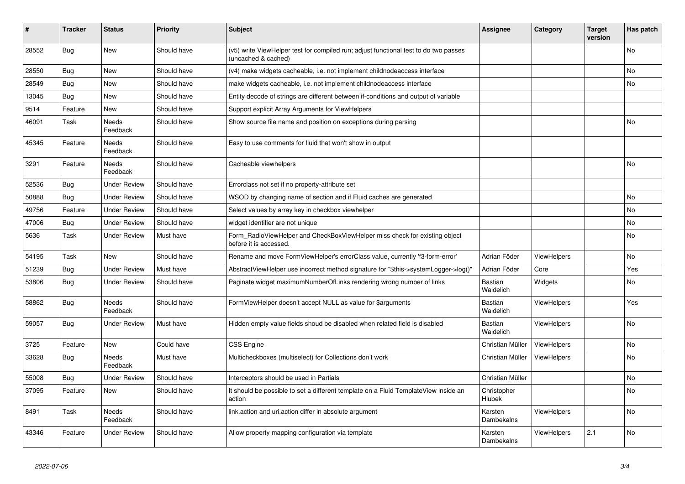| ∦     | <b>Tracker</b> | <b>Status</b>            | <b>Priority</b> | <b>Subject</b>                                                                                              | <b>Assignee</b>             | Category           | <b>Target</b><br>version | Has patch |
|-------|----------------|--------------------------|-----------------|-------------------------------------------------------------------------------------------------------------|-----------------------------|--------------------|--------------------------|-----------|
| 28552 | <b>Bug</b>     | New                      | Should have     | (v5) write ViewHelper test for compiled run; adjust functional test to do two passes<br>(uncached & cached) |                             |                    |                          | <b>No</b> |
| 28550 | <b>Bug</b>     | <b>New</b>               | Should have     | (v4) make widgets cacheable, i.e. not implement childnodeaccess interface                                   |                             |                    |                          | No        |
| 28549 | Bug            | New                      | Should have     | make widgets cacheable, i.e. not implement childnodeaccess interface                                        |                             |                    |                          | <b>No</b> |
| 13045 | <b>Bug</b>     | New                      | Should have     | Entity decode of strings are different between if-conditions and output of variable                         |                             |                    |                          |           |
| 9514  | Feature        | <b>New</b>               | Should have     | Support explicit Array Arguments for ViewHelpers                                                            |                             |                    |                          |           |
| 46091 | Task           | <b>Needs</b><br>Feedback | Should have     | Show source file name and position on exceptions during parsing                                             |                             |                    |                          | No        |
| 45345 | Feature        | <b>Needs</b><br>Feedback | Should have     | Easy to use comments for fluid that won't show in output                                                    |                             |                    |                          |           |
| 3291  | Feature        | Needs<br>Feedback        | Should have     | Cacheable viewhelpers                                                                                       |                             |                    |                          | <b>No</b> |
| 52536 | <b>Bug</b>     | <b>Under Review</b>      | Should have     | Errorclass not set if no property-attribute set                                                             |                             |                    |                          |           |
| 50888 | Bug            | <b>Under Review</b>      | Should have     | WSOD by changing name of section and if Fluid caches are generated                                          |                             |                    |                          | No        |
| 49756 | Feature        | <b>Under Review</b>      | Should have     | Select values by array key in checkbox viewhelper                                                           |                             |                    |                          | No        |
| 47006 | Bug            | <b>Under Review</b>      | Should have     | widget identifier are not unique                                                                            |                             |                    |                          | No        |
| 5636  | Task           | <b>Under Review</b>      | Must have       | Form RadioViewHelper and CheckBoxViewHelper miss check for existing object<br>before it is accessed.        |                             |                    |                          | No        |
| 54195 | Task           | <b>New</b>               | Should have     | Rename and move FormViewHelper's errorClass value, currently 'f3-form-error'                                | Adrian Föder                | ViewHelpers        |                          | No        |
| 51239 | <b>Bug</b>     | <b>Under Review</b>      | Must have       | AbstractViewHelper use incorrect method signature for "\$this->systemLogger->log()"                         | Adrian Föder                | Core               |                          | Yes       |
| 53806 | Bug            | <b>Under Review</b>      | Should have     | Paginate widget maximumNumberOfLinks rendering wrong number of links                                        | Bastian<br>Waidelich        | Widgets            |                          | No        |
| 58862 | <b>Bug</b>     | <b>Needs</b><br>Feedback | Should have     | FormViewHelper doesn't accept NULL as value for \$arguments                                                 | Bastian<br>Waidelich        | <b>ViewHelpers</b> |                          | Yes       |
| 59057 | Bug            | <b>Under Review</b>      | Must have       | Hidden empty value fields shoud be disabled when related field is disabled                                  | <b>Bastian</b><br>Waidelich | ViewHelpers        |                          | <b>No</b> |
| 3725  | Feature        | <b>New</b>               | Could have      | <b>CSS Engine</b>                                                                                           | Christian Müller            | ViewHelpers        |                          | No        |
| 33628 | Bug            | Needs<br>Feedback        | Must have       | Multicheckboxes (multiselect) for Collections don't work                                                    | Christian Müller            | ViewHelpers        |                          | No        |
| 55008 | Bug            | <b>Under Review</b>      | Should have     | Interceptors should be used in Partials                                                                     | Christian Müller            |                    |                          | No        |
| 37095 | Feature        | New                      | Should have     | It should be possible to set a different template on a Fluid TemplateView inside an<br>action               | Christopher<br>Hlubek       |                    |                          | No        |
| 8491  | Task           | <b>Needs</b><br>Feedback | Should have     | link action and uri action differ in absolute argument                                                      | Karsten<br>Dambekalns       | ViewHelpers        |                          | No        |
| 43346 | Feature        | <b>Under Review</b>      | Should have     | Allow property mapping configuration via template                                                           | Karsten<br>Dambekalns       | ViewHelpers        | 2.1                      | <b>No</b> |